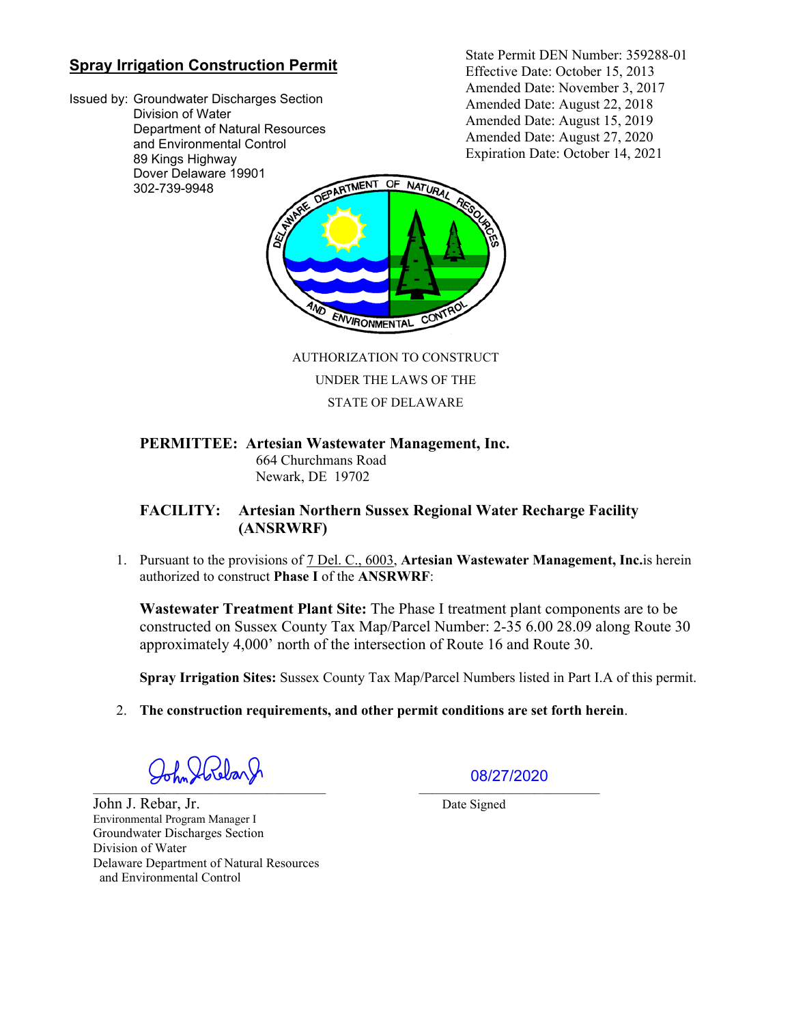# **Spray Irrigation Construction Permit**

Issued by: Groundwater Discharges Section Division of Water Department of Natural Resources and Environmental Control 89 Kings Highway Dover Delaware 19901 302-739-9948

State Permit DEN Number: 359288-01 Effective Date: October 15, 2013 Amended Date: November 3, 2017 Amended Date: August 22, 2018 Amended Date: August 15, 2019 Amended Date: August 27, 2020 Expiration Date: October 14, 2021



 AUTHORIZATION TO CONSTRUCT UNDER THE LAWS OF THE

STATE OF DELAWARE

### **PERMITTEE: Artesian Wastewater Management, Inc.**

664 Churchmans Road Newark, DE 19702

## **FACILITY: Artesian Northern Sussex Regional Water Recharge Facility (ANSRWRF)**

1. Pursuant to the provisions of 7 Del. C., 6003, **Artesian Wastewater Management, Inc.**is herein authorized to construct **Phase I** of the **ANSRWRF**:

**Wastewater Treatment Plant Site:** The Phase I treatment plant components are to be constructed on Sussex County Tax Map/Parcel Number: 2-35 6.00 28.09 along Route 30 approximately 4,000' north of the intersection of Route 16 and Route 30.

**Spray Irrigation Sites:** Sussex County Tax Map/Parcel Numbers listed in Part I.A of this permit.

2. **The construction requirements, and other permit conditions are set forth herein**.

\_\_\_\_\_\_\_\_\_\_\_\_\_\_\_\_\_\_\_\_\_\_\_\_\_\_\_\_\_\_\_\_\_\_\_\_ \_\_\_\_\_\_\_\_\_\_\_\_\_\_\_\_\_\_\_\_\_\_\_\_\_\_\_\_

John J. Rebar, Jr. Date Signed Environmental Program Manager I Groundwater Discharges Section Division of Water Delaware Department of Natural Resources and Environmental Control

08/27/2020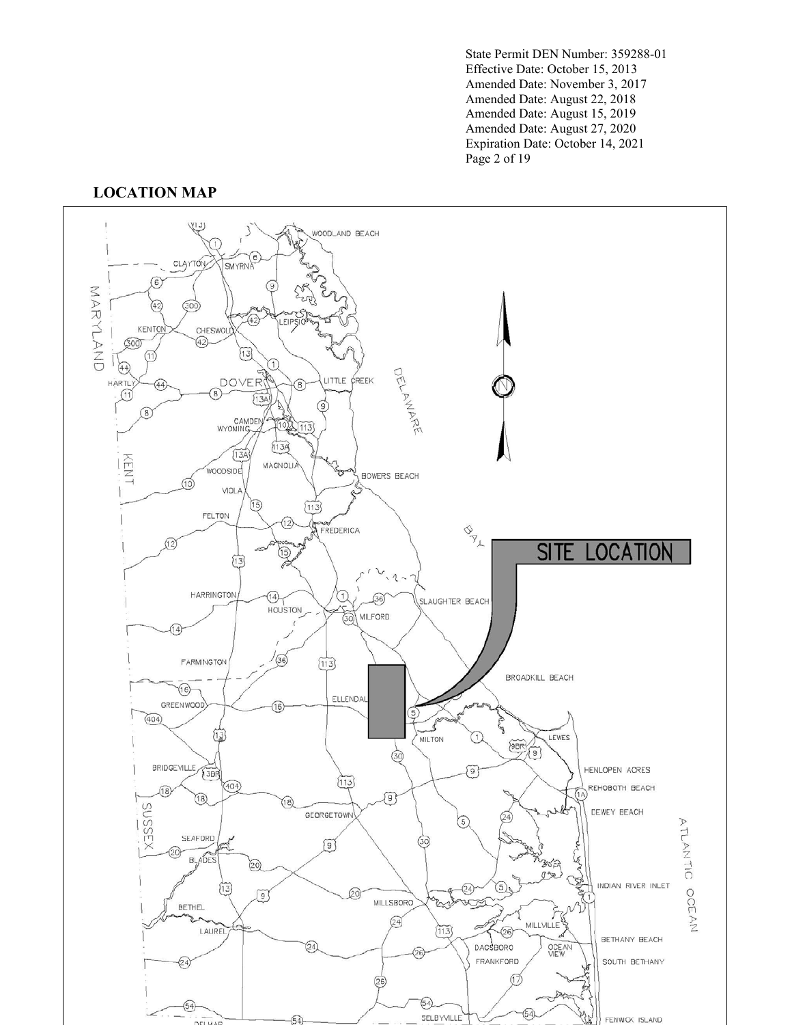State Permit DEN Number: 359288-01 Effective Date: October 15, 2013 Amended Date: November 3, 2017 Amended Date: August 22, 2018 Amended Date: August 15, 2019 Amended Date: August 27, 2020 Expiration Date: October 14, 2021 Page 2 of 19

## **LOCATION MAP**

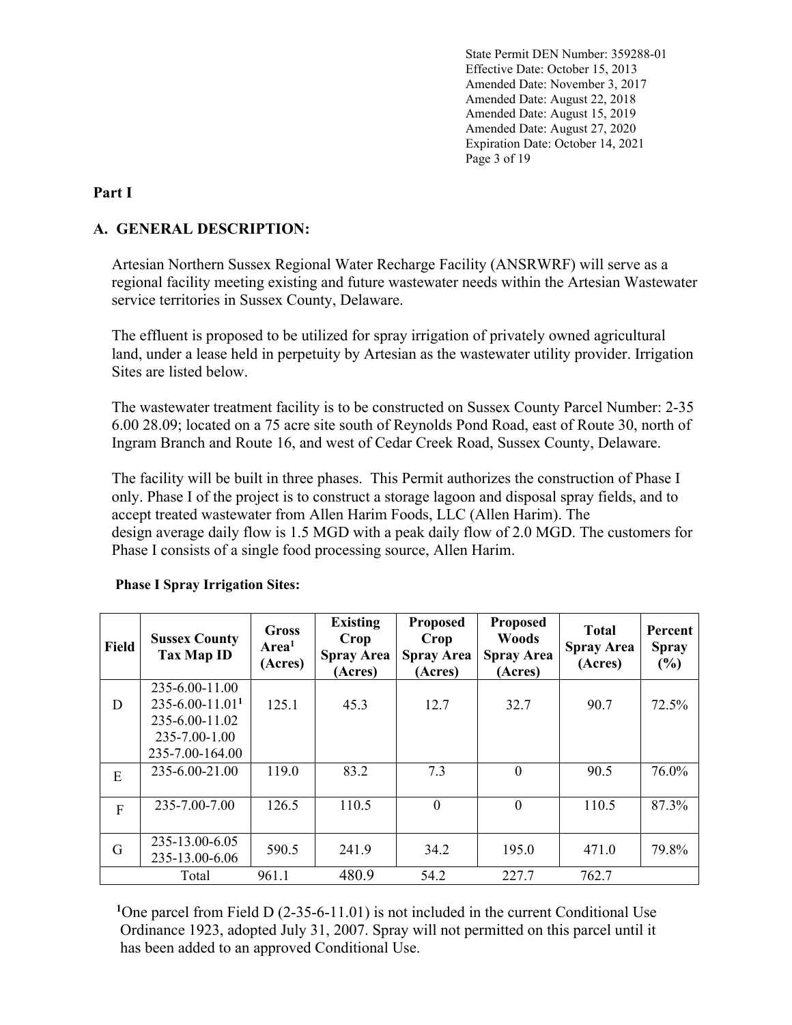State Permit DEN Number: 359288-01 Effective Date: October 15, 2013 Amended Date: November 3, 2017 Amended Date: August 22, 2018 Amended Date: August 15, 2019 Amended Date: August 27, 2020 Expiration Date: October 14, 2021 Page 3 of 19

### **Part I**

# **A. GENERAL DESCRIPTION:**

Artesian Northern Sussex Regional Water Recharge Facility (ANSRWRF) will serve as a regional facility meeting existing and future wastewater needs within the Artesian Wastewater service territories in Sussex County, Delaware.

The effluent is proposed to be utilized for spray irrigation of privately owned agricultural land, under a lease held in perpetuity by Artesian as the wastewater utility provider. Irrigation Sites are listed below.

The wastewater treatment facility is to be constructed on Sussex County Parcel Number: 2-35 6.00 28.09; located on a 75 acre site south of Reynolds Pond Road, east of Route 30, north of Ingram Branch and Route 16, and west of Cedar Creek Road, Sussex County, Delaware.

The facility will be built in three phases. This Permit authorizes the construction of Phase I only. Phase I of the project is to construct a storage lagoon and disposal spray fields, and to accept treated wastewater from Allen Harim Foods, LLC (Allen Harim). The design average daily flow is 1.5 MGD with a peak daily flow of 2.0 MGD. The customers for Phase I consists of a single food processing source, Allen Harim.

| <b>Field</b> | <b>Sussex County</b><br><b>Tax Map ID</b> | <b>Gross</b><br>Area <sup>1</sup><br>(Acres) | <b>Existing</b><br>Crop<br><b>Spray Area</b><br>(Acres) | <b>Proposed</b><br>Crop<br><b>Spray Area</b><br>(Acres) | <b>Proposed</b><br><b>Woods</b><br><b>Spray Area</b><br>(Acres) | <b>Total</b><br><b>Spray Area</b><br>(Acres) | Percent<br><b>Spray</b><br>$(\%)$ |
|--------------|-------------------------------------------|----------------------------------------------|---------------------------------------------------------|---------------------------------------------------------|-----------------------------------------------------------------|----------------------------------------------|-----------------------------------|
|              | 235-6.00-11.00                            |                                              |                                                         |                                                         |                                                                 |                                              |                                   |
| D            | $235 - 6.00 - 11.01$ <sup>1</sup>         | 125.1                                        | 45.3                                                    | 12.7                                                    | 32.7                                                            | 90.7                                         | 72.5%                             |
|              | 235-6.00-11.02                            |                                              |                                                         |                                                         |                                                                 |                                              |                                   |
|              | 235-7.00-1.00                             |                                              |                                                         |                                                         |                                                                 |                                              |                                   |
|              | 235-7.00-164.00                           |                                              |                                                         |                                                         |                                                                 |                                              |                                   |
| E            | 235-6.00-21.00                            | 119.0                                        | 83.2                                                    | 7.3                                                     | $\boldsymbol{0}$                                                | 90.5                                         | 76.0%                             |
| $\mathbf{F}$ | 235-7.00-7.00                             | 126.5                                        | 110.5                                                   | $\theta$                                                | $\boldsymbol{0}$                                                | 110.5                                        | 87.3%                             |
| G            | 235-13.00-6.05<br>235-13.00-6.06          | 590.5                                        | 241.9                                                   | 34.2                                                    | 195.0                                                           | 471.0                                        | 79.8%                             |
|              | Total                                     | 961.1                                        | 480.9                                                   | 54.2                                                    | 227.7                                                           | 762.7                                        |                                   |

### **Phase I Spray Irrigation Sites:**

<sup>1</sup>One parcel from Field D (2-35-6-11.01) is not included in the current Conditional Use Ordinance 1923, adopted July 31, 2007. Spray will not permitted on this parcel until it has been added to an approved Conditional Use.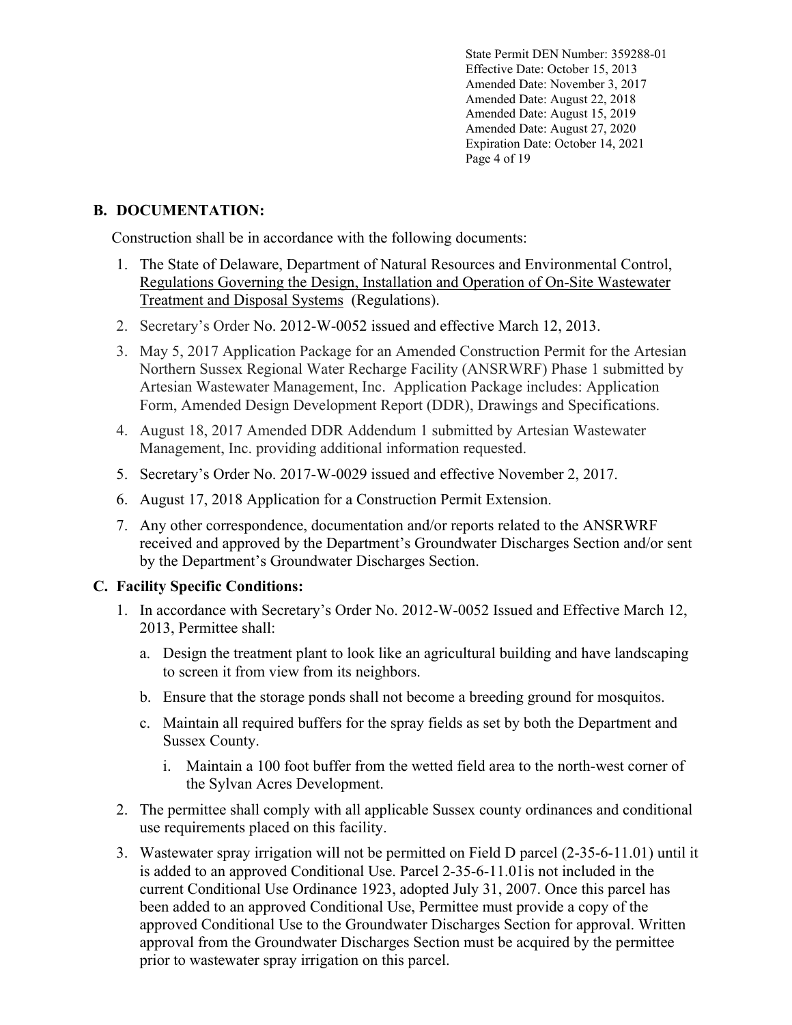State Permit DEN Number: 359288-01 Effective Date: October 15, 2013 Amended Date: November 3, 2017 Amended Date: August 22, 2018 Amended Date: August 15, 2019 Amended Date: August 27, 2020 Expiration Date: October 14, 2021 Page 4 of 19

# **B. DOCUMENTATION:**

Construction shall be in accordance with the following documents:

- 1. The State of Delaware, Department of Natural Resources and Environmental Control, Regulations Governing the Design, Installation and Operation of On-Site Wastewater Treatment and Disposal Systems (Regulations).
- 2. Secretary's Order No. 2012-W-0052 issued and effective March 12, 2013.
- 3. May 5, 2017 Application Package for an Amended Construction Permit for the Artesian Northern Sussex Regional Water Recharge Facility (ANSRWRF) Phase 1 submitted by Artesian Wastewater Management, Inc. Application Package includes: Application Form, Amended Design Development Report (DDR), Drawings and Specifications.
- 4. August 18, 2017 Amended DDR Addendum 1 submitted by Artesian Wastewater Management, Inc. providing additional information requested.
- 5. Secretary's Order No. 2017-W-0029 issued and effective November 2, 2017.
- 6. August 17, 2018 Application for a Construction Permit Extension.
- 7. Any other correspondence, documentation and/or reports related to the ANSRWRF received and approved by the Department's Groundwater Discharges Section and/or sent by the Department's Groundwater Discharges Section.

### **C. Facility Specific Conditions:**

- 1. In accordance with Secretary's Order No. 2012-W-0052 Issued and Effective March 12, 2013, Permittee shall:
	- a. Design the treatment plant to look like an agricultural building and have landscaping to screen it from view from its neighbors.
	- b. Ensure that the storage ponds shall not become a breeding ground for mosquitos.
	- c. Maintain all required buffers for the spray fields as set by both the Department and Sussex County.
		- i. Maintain a 100 foot buffer from the wetted field area to the north-west corner of the Sylvan Acres Development.
- 2. The permittee shall comply with all applicable Sussex county ordinances and conditional use requirements placed on this facility.
- 3. Wastewater spray irrigation will not be permitted on Field D parcel (2-35-6-11.01) until it is added to an approved Conditional Use. Parcel 2-35-6-11.01is not included in the current Conditional Use Ordinance 1923, adopted July 31, 2007. Once this parcel has been added to an approved Conditional Use, Permittee must provide a copy of the approved Conditional Use to the Groundwater Discharges Section for approval. Written approval from the Groundwater Discharges Section must be acquired by the permittee prior to wastewater spray irrigation on this parcel.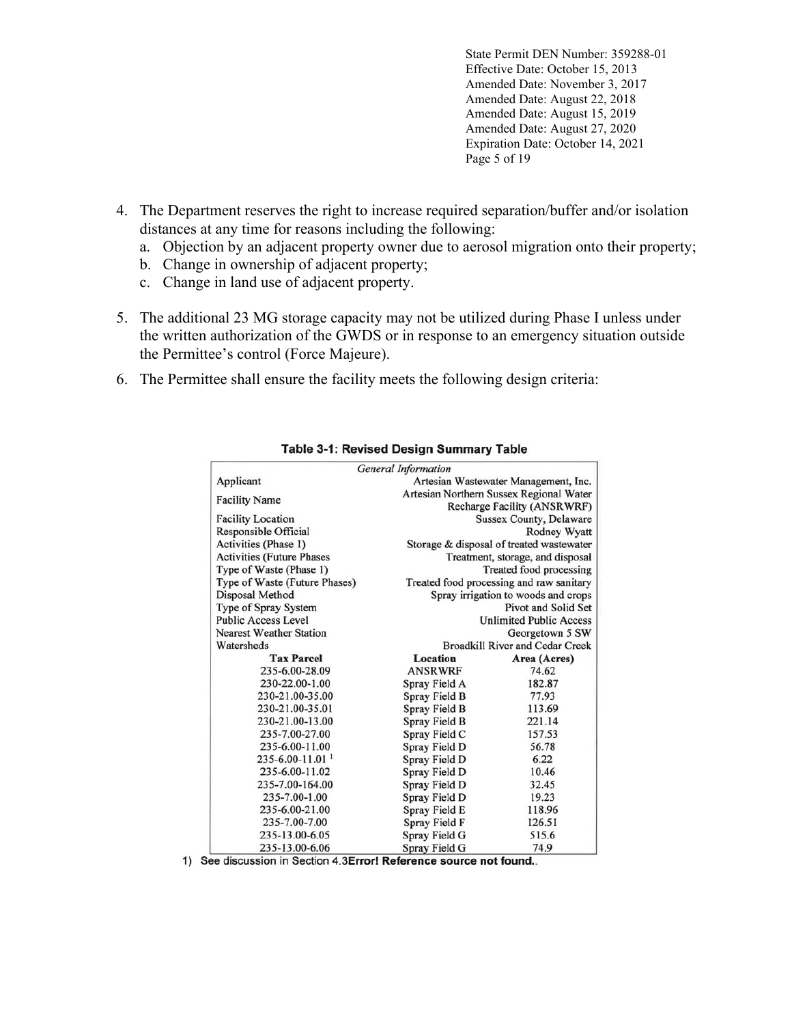State Permit DEN Number: 359288-01 Effective Date: October 15, 2013 Amended Date: November 3, 2017 Amended Date: August 22, 2018 Amended Date: August 15, 2019 Amended Date: August 27, 2020 Expiration Date: October 14, 2021 Page 5 of 19

- 4. The Department reserves the right to increase required separation/buffer and/or isolation distances at any time for reasons including the following:
	- a. Objection by an adjacent property owner due to aerosol migration onto their property;
	- b. Change in ownership of adjacent property;
	- c. Change in land use of adjacent property.
- 5. The additional 23 MG storage capacity may not be utilized during Phase I unless under the written authorization of the GWDS or in response to an emergency situation outside the Permittee's control (Force Majeure).
- 6. The Permittee shall ensure the facility meets the following design criteria:

|                                   | <b>General Information</b>             |                                          |  |
|-----------------------------------|----------------------------------------|------------------------------------------|--|
| Applicant                         |                                        | Artesian Wastewater Management, Inc.     |  |
| <b>Facility Name</b>              |                                        | Artesian Northern Sussex Regional Water  |  |
|                                   |                                        | Recharge Facility (ANSRWRF)              |  |
| <b>Facility Location</b>          |                                        | <b>Sussex County, Delaware</b>           |  |
| Responsible Official              |                                        | Rodney Wyatt                             |  |
| Activities (Phase 1)              |                                        | Storage & disposal of treated wastewater |  |
| <b>Activities (Future Phases</b>  |                                        | Treatment, storage, and disposal         |  |
| Type of Waste (Phase 1)           |                                        | Treated food processing                  |  |
| Type of Waste (Future Phases)     |                                        | Treated food processing and raw sanitary |  |
| Disposal Method                   |                                        | Spray irrigation to woods and crops      |  |
| Type of Spray System              |                                        | Pivot and Solid Set                      |  |
| <b>Public Access Level</b>        |                                        | <b>Unlimited Public Access</b>           |  |
| <b>Nearest Weather Station</b>    |                                        | Georgetown 5 SW                          |  |
| Watersheds                        | <b>Broadkill River and Cedar Creek</b> |                                          |  |
| <b>Tax Parcel</b>                 | Location                               | Area (Acres)                             |  |
| 235-6.00-28.09                    | <b>ANSRWRF</b>                         | 74.62                                    |  |
| 230-22.00-1.00                    | Spray Field A                          | 182.87                                   |  |
| 230-21.00-35.00                   | Spray Field B                          | 77.93                                    |  |
| 230-21.00-35.01                   | Spray Field B                          | 113.69                                   |  |
| 230-21.00-13.00                   | Spray Field B                          | 221.14                                   |  |
| 235-7.00-27.00                    | Spray Field C                          | 157.53                                   |  |
| 235-6.00-11.00                    | Spray Field D                          | 56.78                                    |  |
| $235 - 6.00 - 11.01$ <sup>1</sup> | Spray Field D                          | 6.22                                     |  |
| 235-6.00-11.02                    | Spray Field D                          | 10.46                                    |  |
| 235-7.00-164.00                   | Spray Field D                          | 32.45                                    |  |
| 235-7.00-1.00                     | Spray Field D                          | 19.23                                    |  |
| 235-6.00-21.00                    | Spray Field E                          | 118.96                                   |  |
| 235-7.00-7.00                     | Spray Field F                          | 126.51                                   |  |
| 235-13.00-6.05                    | Spray Field G                          | 515.6                                    |  |
| 235-13.00-6.06                    | Spray Field G                          | 74.9                                     |  |

#### Table 3-1: Revised Design Summary Table

1) See discussion in Section 4.3Error! Reference source not found..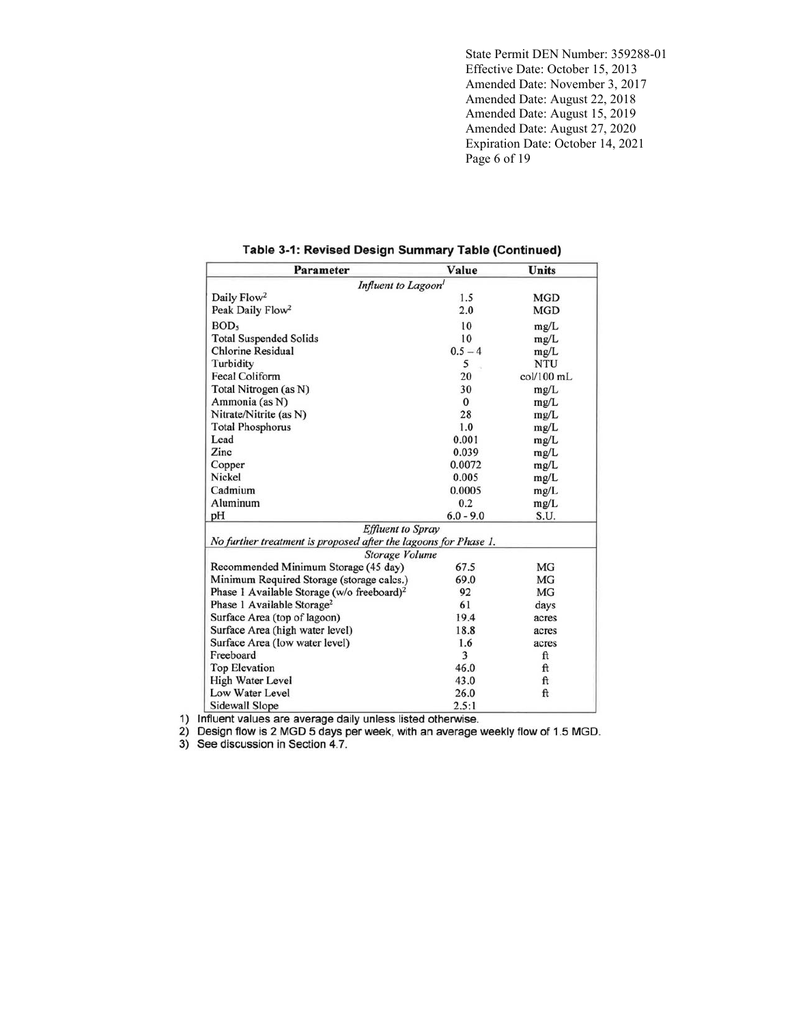State Permit DEN Number: 359288-01 Effective Date: October 15, 2013 Amended Date: November 3, 2017 Amended Date: August 22, 2018 Amended Date: August 15, 2019 Amended Date: August 27, 2020 Expiration Date: October 14, 2021 Page 6 of 19

| <b>Parameter</b>                                                | Value        | Units      |  |  |
|-----------------------------------------------------------------|--------------|------------|--|--|
| Influent to Lagoon <sup>1</sup>                                 |              |            |  |  |
| Daily Flow <sup>2</sup>                                         | 1.5          | <b>MGD</b> |  |  |
| Peak Daily Flow <sup>2</sup>                                    | 2.0          | <b>MGD</b> |  |  |
| <b>BOD</b>                                                      | 10           | mg/L       |  |  |
| <b>Total Suspended Solids</b>                                   | 10           | mg/L       |  |  |
| <b>Chlorine Residual</b>                                        | $0.5 - 4$    | mg/L       |  |  |
| Turbidity                                                       | 5            | <b>NTU</b> |  |  |
| Fecal Coliform                                                  | 20           | col/100 mL |  |  |
| Total Nitrogen (as N)                                           | 30           | mg/L       |  |  |
| Ammonia (as N)                                                  | $\mathbf{0}$ | mg/L       |  |  |
| Nitrate/Nitrite (as N)                                          | 28           | mg/L       |  |  |
| <b>Total Phosphorus</b>                                         | 1.0          | mg/L       |  |  |
| Lead                                                            | 0.001        | mg/L       |  |  |
| Zinc                                                            | 0.039        | mg/L       |  |  |
| Copper                                                          | 0.0072       | mg/L       |  |  |
| Nickel                                                          | 0.005        | mg/L       |  |  |
| Cadmium                                                         | 0.0005       | mg/L       |  |  |
| Aluminum                                                        | 0.2          | mg/L       |  |  |
| pH                                                              | $6.0 - 9.0$  | S.U.       |  |  |
| <b>Effluent</b> to Spray                                        |              |            |  |  |
| No further treatment is proposed after the lagoons for Phase 1. |              |            |  |  |
| Storage Volume                                                  |              |            |  |  |
| Recommended Minimum Storage (45 day)                            | 67.5         | MG         |  |  |
| Minimum Required Storage (storage calcs.)                       | 69.0         | <b>MG</b>  |  |  |
| Phase 1 Available Storage (w/o freeboard) <sup>2</sup>          | 92           | <b>MG</b>  |  |  |
| Phase 1 Available Storage <sup>2</sup>                          | 61           | days       |  |  |
| Surface Area (top of lagoon)                                    | 19.4         | acres      |  |  |
| Surface Area (high water level)                                 | 18.8         | acres      |  |  |
| Surface Area (low water level)                                  | 1.6          | acres      |  |  |
| Freeboard                                                       | 3            | ft         |  |  |
| <b>Top Elevation</b>                                            | 46.0         | ft         |  |  |
| <b>High Water Level</b>                                         | 43.0         | ft         |  |  |
| Low Water Level                                                 | 26.0         | ft         |  |  |
| <b>Sidewall Slope</b>                                           | 2.5:1        |            |  |  |

#### Table 3-1: Revised Design Summary Table (Continued)

1) Influent values are average daily unless listed otherwise.<br>
2) Design flow is 2 MGD 5 days per week, with an average weekly flow of 1.5 MGD.<br>
3) See discussion in Section 4.7.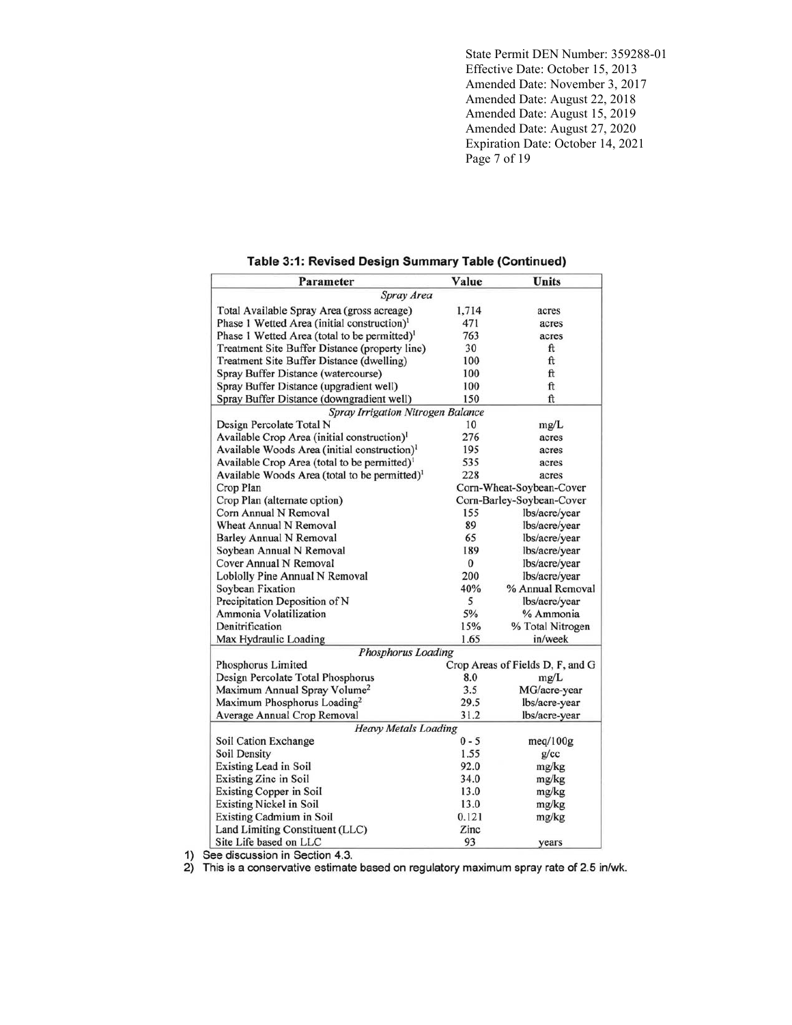State Permit DEN Number: 359288-01 Effective Date: October 15, 2013 Amended Date: November 3, 2017 Amended Date: August 22, 2018 Amended Date: August 15, 2019 Amended Date: August 27, 2020 Expiration Date: October 14, 2021 Page 7 of 19

| Table 3:1: Revised Design Summary Table (Continued) |  |  |  |  |  |  |
|-----------------------------------------------------|--|--|--|--|--|--|
|-----------------------------------------------------|--|--|--|--|--|--|

| Parameter                                                 | Value    | <b>Units</b>                     |  |  |
|-----------------------------------------------------------|----------|----------------------------------|--|--|
| Spray Area                                                |          |                                  |  |  |
| Total Available Spray Area (gross acreage)                | 1,714    | acres                            |  |  |
| Phase 1 Wetted Area (initial construction) <sup>1</sup>   | 471      | acres                            |  |  |
| Phase 1 Wetted Area (total to be permitted) <sup>1</sup>  | 763      | acres                            |  |  |
| Treatment Site Buffer Distance (property line)            | 30       | ft                               |  |  |
| Treatment Site Buffer Distance (dwelling)                 | 100      | ft                               |  |  |
| Spray Buffer Distance (watercourse)                       | 100      | ft                               |  |  |
| Spray Buffer Distance (upgradient well)                   | 100      | ft                               |  |  |
| Spray Buffer Distance (downgradient well)                 | 150      | ft                               |  |  |
| Spray Irrigation Nitrogen Balance                         |          |                                  |  |  |
| Design Percolate Total N                                  | 10       | mg/L                             |  |  |
| Available Crop Area (initial construction) <sup>1</sup>   | 276      | acres                            |  |  |
| Available Woods Area (initial construction) <sup>1</sup>  | 195      | acres                            |  |  |
| Available Crop Area (total to be permitted) <sup>1</sup>  | 535      | acres                            |  |  |
| Available Woods Area (total to be permitted) <sup>1</sup> | 228      | acres                            |  |  |
| Crop Plan                                                 |          | Corn-Wheat-Soybean-Cover         |  |  |
| Crop Plan (alternate option)                              |          | Corn-Barley-Soybean-Cover        |  |  |
| Corn Annual N Removal                                     | 155      | lbs/acre/year                    |  |  |
| <b>Wheat Annual N Removal</b>                             | 89       | lbs/acre/year                    |  |  |
| <b>Barley Annual N Removal</b>                            | 65       | lbs/acre/year                    |  |  |
| Soybean Annual N Removal                                  | 189      | lbs/acre/year                    |  |  |
| Cover Annual N Removal                                    | $\bf{0}$ | lbs/acre/year                    |  |  |
| Loblolly Pine Annual N Removal                            | 200      | lbs/acre/year                    |  |  |
| Soybean Fixation                                          | 40%      | % Annual Removal                 |  |  |
| Precipitation Deposition of N                             | 5        | lbs/acre/vear                    |  |  |
| Ammonia Volatilization                                    | 5%       | % Ammonia                        |  |  |
| Denitrification                                           | 15%      | % Total Nitrogen                 |  |  |
| Max Hydraulic Loading                                     | 1.65     | in/week                          |  |  |
| Phosphorus Loading                                        |          |                                  |  |  |
| Phosphorus Limited                                        |          | Crop Areas of Fields D, F, and G |  |  |
| Design Percolate Total Phosphorus                         | 8.0      | mg/L                             |  |  |
| Maximum Annual Spray Volume <sup>2</sup>                  | 3.5      | MG/acre-year                     |  |  |
| Maximum Phosphorus Loading <sup>2</sup>                   | 29.5     | lbs/acre-year                    |  |  |
| Average Annual Crop Removal                               | 31.2     | lbs/acre-year                    |  |  |
| <b>Heavy Metals Loading</b>                               |          |                                  |  |  |
| Soil Cation Exchange                                      | $0 - 5$  | meq/100g                         |  |  |
| Soil Density                                              | 1.55     | g/cc                             |  |  |
| <b>Existing Lead in Soil</b>                              | 92.0     | mg/kg                            |  |  |
| <b>Existing Zinc in Soil</b>                              | 34.0     | mg/kg                            |  |  |
| <b>Existing Copper in Soil</b>                            | 13.0     | mg/kg                            |  |  |
| <b>Existing Nickel in Soil</b>                            | 13.0     | mg/kg                            |  |  |
| Existing Cadmium in Soil                                  | 0.121    | mg/kg                            |  |  |
| Land Limiting Constituent (LLC)                           | Zinc     |                                  |  |  |
| Site Life based on LLC                                    | 93       | years                            |  |  |

1) See discussion in Section 4.3.<br>2) This is a conservative estimate based on regulatory maximum spray rate of 2.5 in/wk.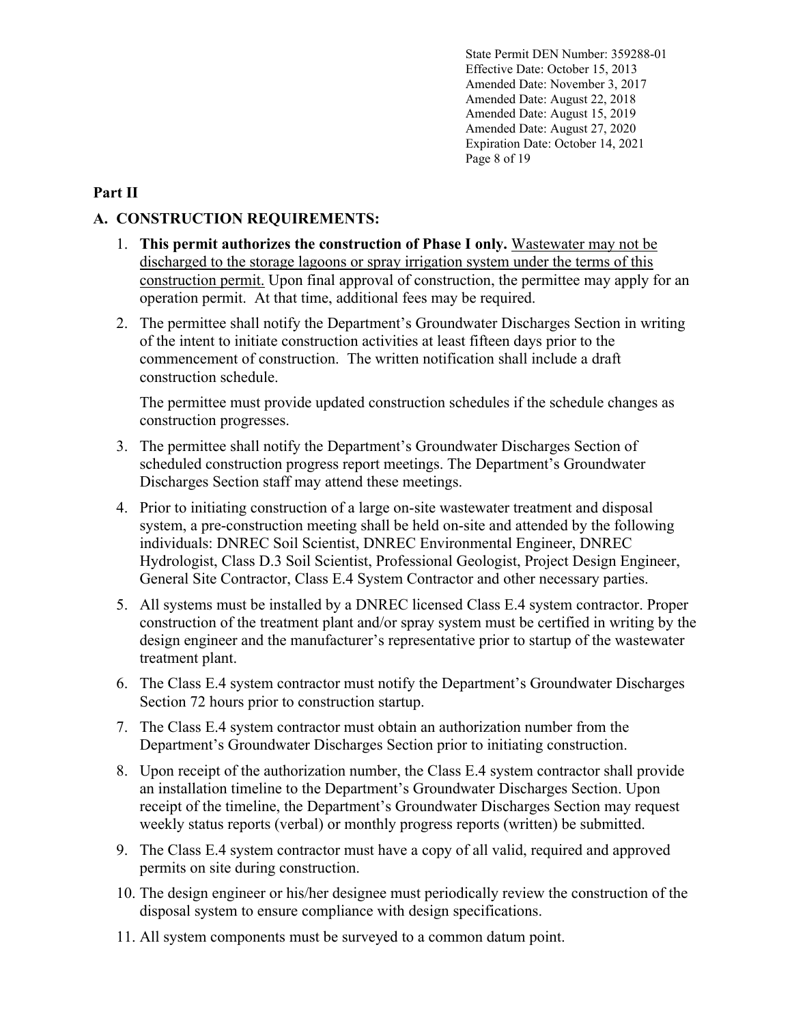State Permit DEN Number: 359288-01 Effective Date: October 15, 2013 Amended Date: November 3, 2017 Amended Date: August 22, 2018 Amended Date: August 15, 2019 Amended Date: August 27, 2020 Expiration Date: October 14, 2021 Page 8 of 19

### **Part II**

### **A. CONSTRUCTION REQUIREMENTS:**

- 1. **This permit authorizes the construction of Phase I only.** Wastewater may not be discharged to the storage lagoons or spray irrigation system under the terms of this construction permit. Upon final approval of construction, the permittee may apply for an operation permit. At that time, additional fees may be required.
- 2. The permittee shall notify the Department's Groundwater Discharges Section in writing of the intent to initiate construction activities at least fifteen days prior to the commencement of construction. The written notification shall include a draft construction schedule.

The permittee must provide updated construction schedules if the schedule changes as construction progresses.

- 3. The permittee shall notify the Department's Groundwater Discharges Section of scheduled construction progress report meetings. The Department's Groundwater Discharges Section staff may attend these meetings.
- 4. Prior to initiating construction of a large on-site wastewater treatment and disposal system, a pre-construction meeting shall be held on-site and attended by the following individuals: DNREC Soil Scientist, DNREC Environmental Engineer, DNREC Hydrologist, Class D.3 Soil Scientist, Professional Geologist, Project Design Engineer, General Site Contractor, Class E.4 System Contractor and other necessary parties.
- 5. All systems must be installed by a DNREC licensed Class E.4 system contractor. Proper construction of the treatment plant and/or spray system must be certified in writing by the design engineer and the manufacturer's representative prior to startup of the wastewater treatment plant.
- 6. The Class E.4 system contractor must notify the Department's Groundwater Discharges Section 72 hours prior to construction startup.
- 7. The Class E.4 system contractor must obtain an authorization number from the Department's Groundwater Discharges Section prior to initiating construction.
- 8. Upon receipt of the authorization number, the Class E.4 system contractor shall provide an installation timeline to the Department's Groundwater Discharges Section. Upon receipt of the timeline, the Department's Groundwater Discharges Section may request weekly status reports (verbal) or monthly progress reports (written) be submitted.
- 9. The Class E.4 system contractor must have a copy of all valid, required and approved permits on site during construction.
- 10. The design engineer or his/her designee must periodically review the construction of the disposal system to ensure compliance with design specifications.
- 11. All system components must be surveyed to a common datum point.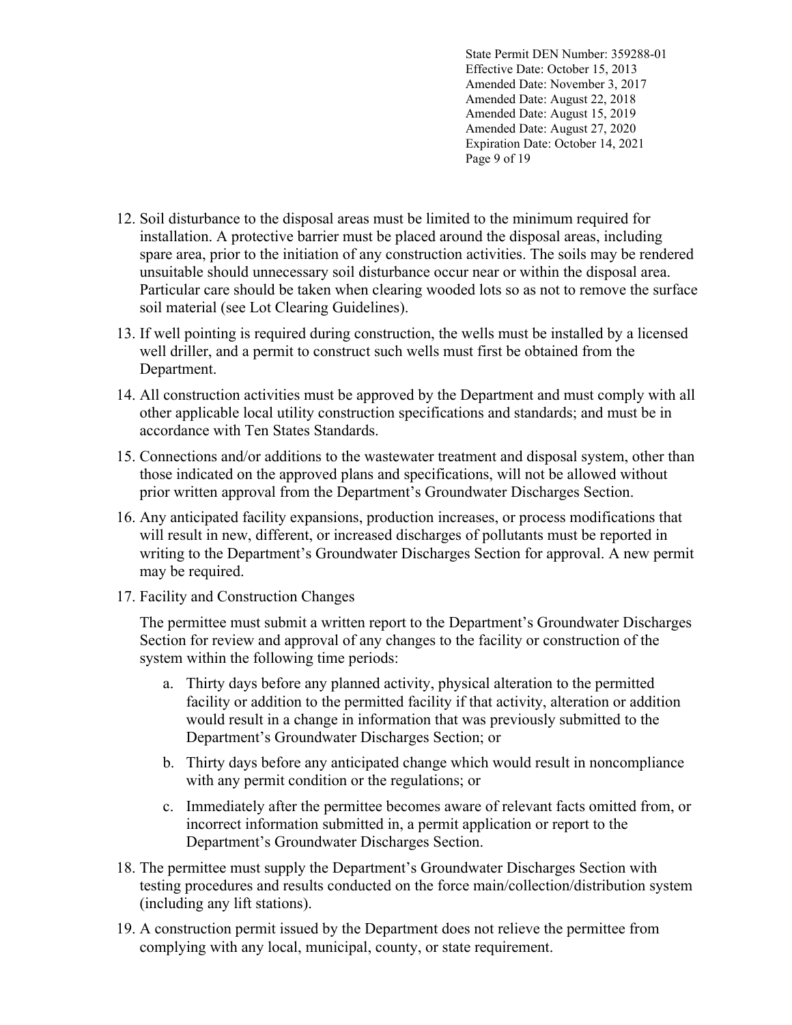State Permit DEN Number: 359288-01 Effective Date: October 15, 2013 Amended Date: November 3, 2017 Amended Date: August 22, 2018 Amended Date: August 15, 2019 Amended Date: August 27, 2020 Expiration Date: October 14, 2021 Page 9 of 19

- 12. Soil disturbance to the disposal areas must be limited to the minimum required for installation. A protective barrier must be placed around the disposal areas, including spare area, prior to the initiation of any construction activities. The soils may be rendered unsuitable should unnecessary soil disturbance occur near or within the disposal area. Particular care should be taken when clearing wooded lots so as not to remove the surface soil material (see Lot Clearing Guidelines).
- 13. If well pointing is required during construction, the wells must be installed by a licensed well driller, and a permit to construct such wells must first be obtained from the Department.
- 14. All construction activities must be approved by the Department and must comply with all other applicable local utility construction specifications and standards; and must be in accordance with Ten States Standards.
- 15. Connections and/or additions to the wastewater treatment and disposal system, other than those indicated on the approved plans and specifications, will not be allowed without prior written approval from the Department's Groundwater Discharges Section.
- 16. Any anticipated facility expansions, production increases, or process modifications that will result in new, different, or increased discharges of pollutants must be reported in writing to the Department's Groundwater Discharges Section for approval. A new permit may be required.
- 17. Facility and Construction Changes

The permittee must submit a written report to the Department's Groundwater Discharges Section for review and approval of any changes to the facility or construction of the system within the following time periods:

- a. Thirty days before any planned activity, physical alteration to the permitted facility or addition to the permitted facility if that activity, alteration or addition would result in a change in information that was previously submitted to the Department's Groundwater Discharges Section; or
- b. Thirty days before any anticipated change which would result in noncompliance with any permit condition or the regulations; or
- c. Immediately after the permittee becomes aware of relevant facts omitted from, or incorrect information submitted in, a permit application or report to the Department's Groundwater Discharges Section.
- 18. The permittee must supply the Department's Groundwater Discharges Section with testing procedures and results conducted on the force main/collection/distribution system (including any lift stations).
- 19. A construction permit issued by the Department does not relieve the permittee from complying with any local, municipal, county, or state requirement.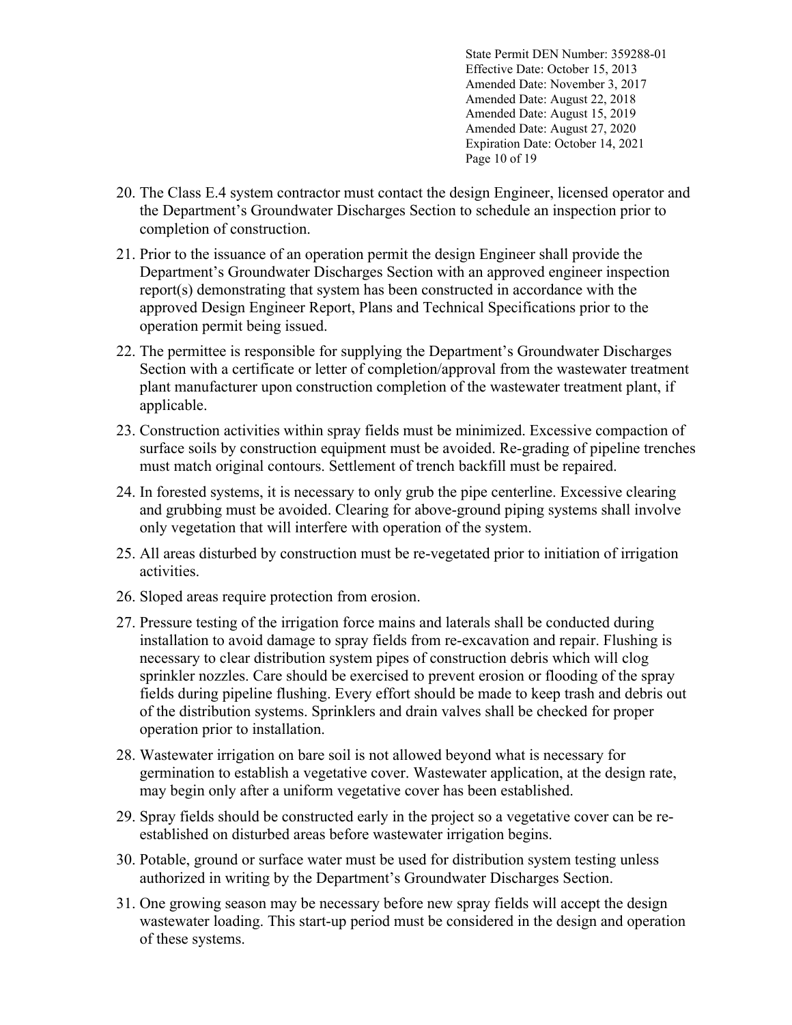State Permit DEN Number: 359288-01 Effective Date: October 15, 2013 Amended Date: November 3, 2017 Amended Date: August 22, 2018 Amended Date: August 15, 2019 Amended Date: August 27, 2020 Expiration Date: October 14, 2021 Page 10 of 19

- 20. The Class E.4 system contractor must contact the design Engineer, licensed operator and the Department's Groundwater Discharges Section to schedule an inspection prior to completion of construction.
- 21. Prior to the issuance of an operation permit the design Engineer shall provide the Department's Groundwater Discharges Section with an approved engineer inspection report(s) demonstrating that system has been constructed in accordance with the approved Design Engineer Report, Plans and Technical Specifications prior to the operation permit being issued.
- 22. The permittee is responsible for supplying the Department's Groundwater Discharges Section with a certificate or letter of completion/approval from the wastewater treatment plant manufacturer upon construction completion of the wastewater treatment plant, if applicable.
- 23. Construction activities within spray fields must be minimized. Excessive compaction of surface soils by construction equipment must be avoided. Re-grading of pipeline trenches must match original contours. Settlement of trench backfill must be repaired.
- 24. In forested systems, it is necessary to only grub the pipe centerline. Excessive clearing and grubbing must be avoided. Clearing for above-ground piping systems shall involve only vegetation that will interfere with operation of the system.
- 25. All areas disturbed by construction must be re-vegetated prior to initiation of irrigation activities.
- 26. Sloped areas require protection from erosion.
- 27. Pressure testing of the irrigation force mains and laterals shall be conducted during installation to avoid damage to spray fields from re-excavation and repair. Flushing is necessary to clear distribution system pipes of construction debris which will clog sprinkler nozzles. Care should be exercised to prevent erosion or flooding of the spray fields during pipeline flushing. Every effort should be made to keep trash and debris out of the distribution systems. Sprinklers and drain valves shall be checked for proper operation prior to installation.
- 28. Wastewater irrigation on bare soil is not allowed beyond what is necessary for germination to establish a vegetative cover. Wastewater application, at the design rate, may begin only after a uniform vegetative cover has been established.
- 29. Spray fields should be constructed early in the project so a vegetative cover can be reestablished on disturbed areas before wastewater irrigation begins.
- 30. Potable, ground or surface water must be used for distribution system testing unless authorized in writing by the Department's Groundwater Discharges Section.
- 31. One growing season may be necessary before new spray fields will accept the design wastewater loading. This start-up period must be considered in the design and operation of these systems.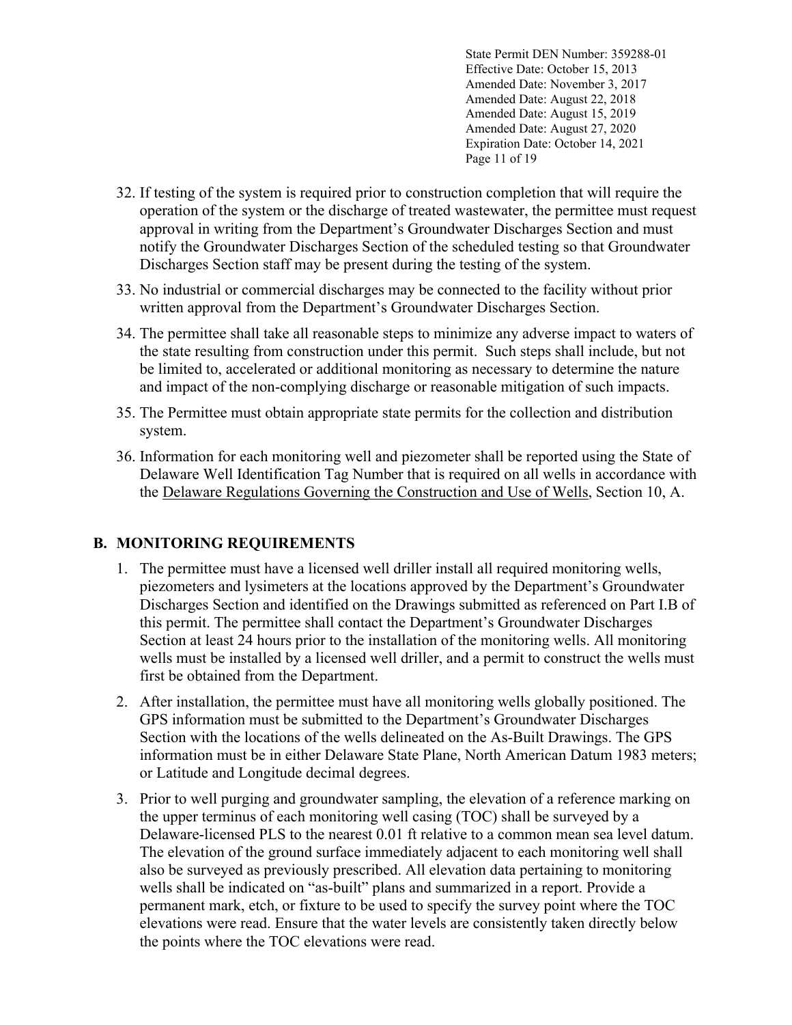State Permit DEN Number: 359288-01 Effective Date: October 15, 2013 Amended Date: November 3, 2017 Amended Date: August 22, 2018 Amended Date: August 15, 2019 Amended Date: August 27, 2020 Expiration Date: October 14, 2021 Page 11 of 19

- 32. If testing of the system is required prior to construction completion that will require the operation of the system or the discharge of treated wastewater, the permittee must request approval in writing from the Department's Groundwater Discharges Section and must notify the Groundwater Discharges Section of the scheduled testing so that Groundwater Discharges Section staff may be present during the testing of the system.
- 33. No industrial or commercial discharges may be connected to the facility without prior written approval from the Department's Groundwater Discharges Section.
- 34. The permittee shall take all reasonable steps to minimize any adverse impact to waters of the state resulting from construction under this permit. Such steps shall include, but not be limited to, accelerated or additional monitoring as necessary to determine the nature and impact of the non-complying discharge or reasonable mitigation of such impacts.
- 35. The Permittee must obtain appropriate state permits for the collection and distribution system.
- 36. Information for each monitoring well and piezometer shall be reported using the State of Delaware Well Identification Tag Number that is required on all wells in accordance with the Delaware Regulations Governing the Construction and Use of Wells, Section 10, A.

### **B. MONITORING REQUIREMENTS**

- 1. The permittee must have a licensed well driller install all required monitoring wells, piezometers and lysimeters at the locations approved by the Department's Groundwater Discharges Section and identified on the Drawings submitted as referenced on Part I.B of this permit. The permittee shall contact the Department's Groundwater Discharges Section at least 24 hours prior to the installation of the monitoring wells. All monitoring wells must be installed by a licensed well driller, and a permit to construct the wells must first be obtained from the Department.
- 2. After installation, the permittee must have all monitoring wells globally positioned. The GPS information must be submitted to the Department's Groundwater Discharges Section with the locations of the wells delineated on the As-Built Drawings. The GPS information must be in either Delaware State Plane, North American Datum 1983 meters; or Latitude and Longitude decimal degrees.
- 3. Prior to well purging and groundwater sampling, the elevation of a reference marking on the upper terminus of each monitoring well casing (TOC) shall be surveyed by a Delaware-licensed PLS to the nearest 0.01 ft relative to a common mean sea level datum. The elevation of the ground surface immediately adjacent to each monitoring well shall also be surveyed as previously prescribed. All elevation data pertaining to monitoring wells shall be indicated on "as-built" plans and summarized in a report. Provide a permanent mark, etch, or fixture to be used to specify the survey point where the TOC elevations were read. Ensure that the water levels are consistently taken directly below the points where the TOC elevations were read.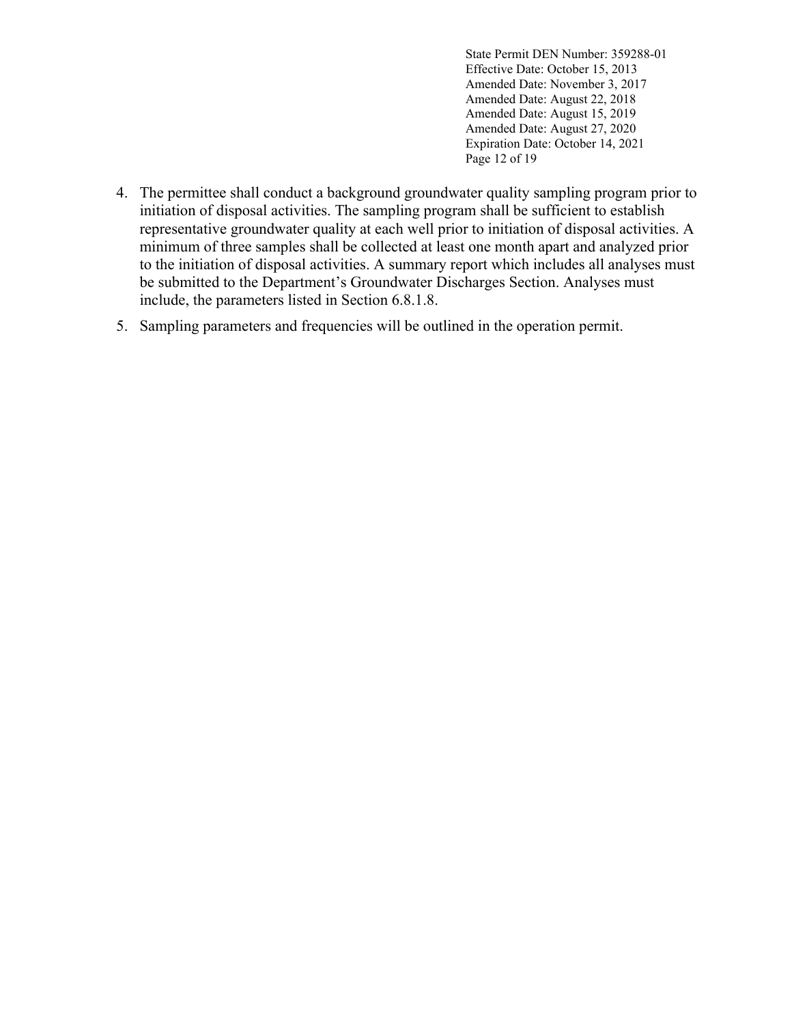State Permit DEN Number: 359288-01 Effective Date: October 15, 2013 Amended Date: November 3, 2017 Amended Date: August 22, 2018 Amended Date: August 15, 2019 Amended Date: August 27, 2020 Expiration Date: October 14, 2021 Page 12 of 19

- 4. The permittee shall conduct a background groundwater quality sampling program prior to initiation of disposal activities. The sampling program shall be sufficient to establish representative groundwater quality at each well prior to initiation of disposal activities. A minimum of three samples shall be collected at least one month apart and analyzed prior to the initiation of disposal activities. A summary report which includes all analyses must be submitted to the Department's Groundwater Discharges Section. Analyses must include, the parameters listed in Section 6.8.1.8.
- 5. Sampling parameters and frequencies will be outlined in the operation permit.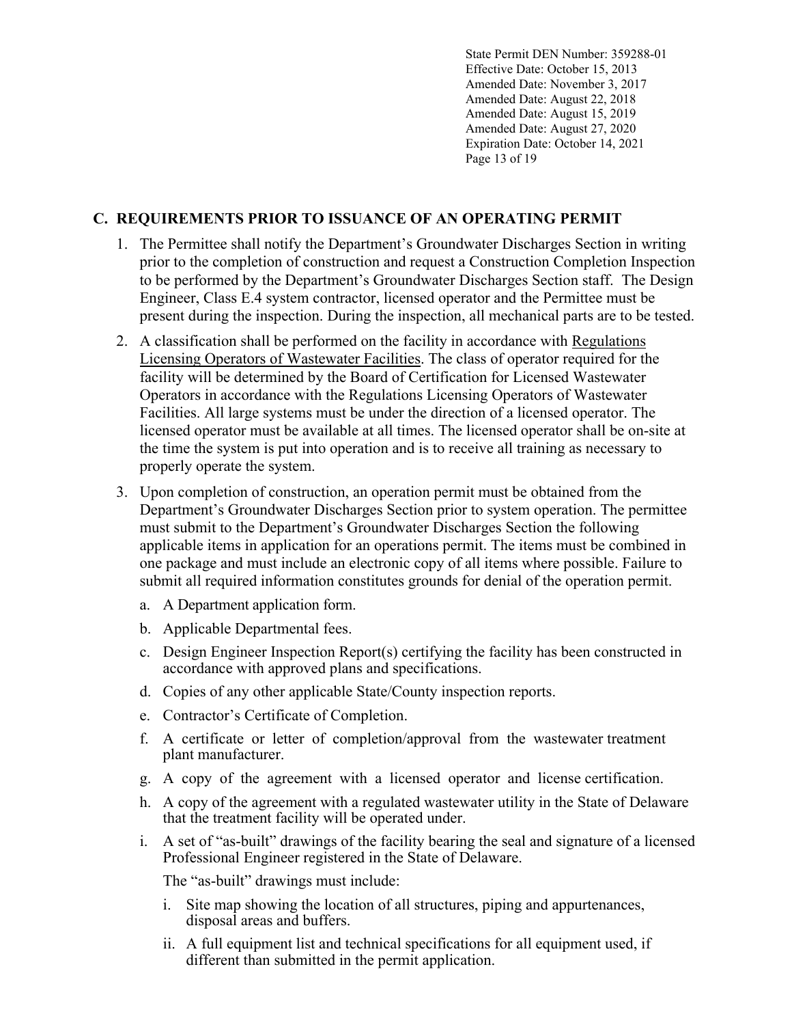State Permit DEN Number: 359288-01 Effective Date: October 15, 2013 Amended Date: November 3, 2017 Amended Date: August 22, 2018 Amended Date: August 15, 2019 Amended Date: August 27, 2020 Expiration Date: October 14, 2021 Page 13 of 19

## **C. REQUIREMENTS PRIOR TO ISSUANCE OF AN OPERATING PERMIT**

- 1. The Permittee shall notify the Department's Groundwater Discharges Section in writing prior to the completion of construction and request a Construction Completion Inspection to be performed by the Department's Groundwater Discharges Section staff. The Design Engineer, Class E.4 system contractor, licensed operator and the Permittee must be present during the inspection. During the inspection, all mechanical parts are to be tested.
- 2. A classification shall be performed on the facility in accordance with Regulations Licensing Operators of Wastewater Facilities. The class of operator required for the facility will be determined by the Board of Certification for Licensed Wastewater Operators in accordance with the Regulations Licensing Operators of Wastewater Facilities. All large systems must be under the direction of a licensed operator. The licensed operator must be available at all times. The licensed operator shall be on-site at the time the system is put into operation and is to receive all training as necessary to properly operate the system.
- 3. Upon completion of construction, an operation permit must be obtained from the Department's Groundwater Discharges Section prior to system operation. The permittee must submit to the Department's Groundwater Discharges Section the following applicable items in application for an operations permit. The items must be combined in one package and must include an electronic copy of all items where possible. Failure to submit all required information constitutes grounds for denial of the operation permit.
	- a. A Department application form.
	- b. Applicable Departmental fees.
	- c. Design Engineer Inspection Report(s) certifying the facility has been constructed in accordance with approved plans and specifications.
	- d. Copies of any other applicable State/County inspection reports.
	- e. Contractor's Certificate of Completion.
	- f. A certificate or letter of completion/approval from the wastewater treatment plant manufacturer.
	- g. A copy of the agreement with a licensed operator and license certification.
	- h. A copy of the agreement with a regulated wastewater utility in the State of Delaware that the treatment facility will be operated under.
	- i. A set of "as-built" drawings of the facility bearing the seal and signature of a licensed Professional Engineer registered in the State of Delaware.

The "as-built" drawings must include:

- i. Site map showing the location of all structures, piping and appurtenances, disposal areas and buffers.
- ii. A full equipment list and technical specifications for all equipment used, if different than submitted in the permit application.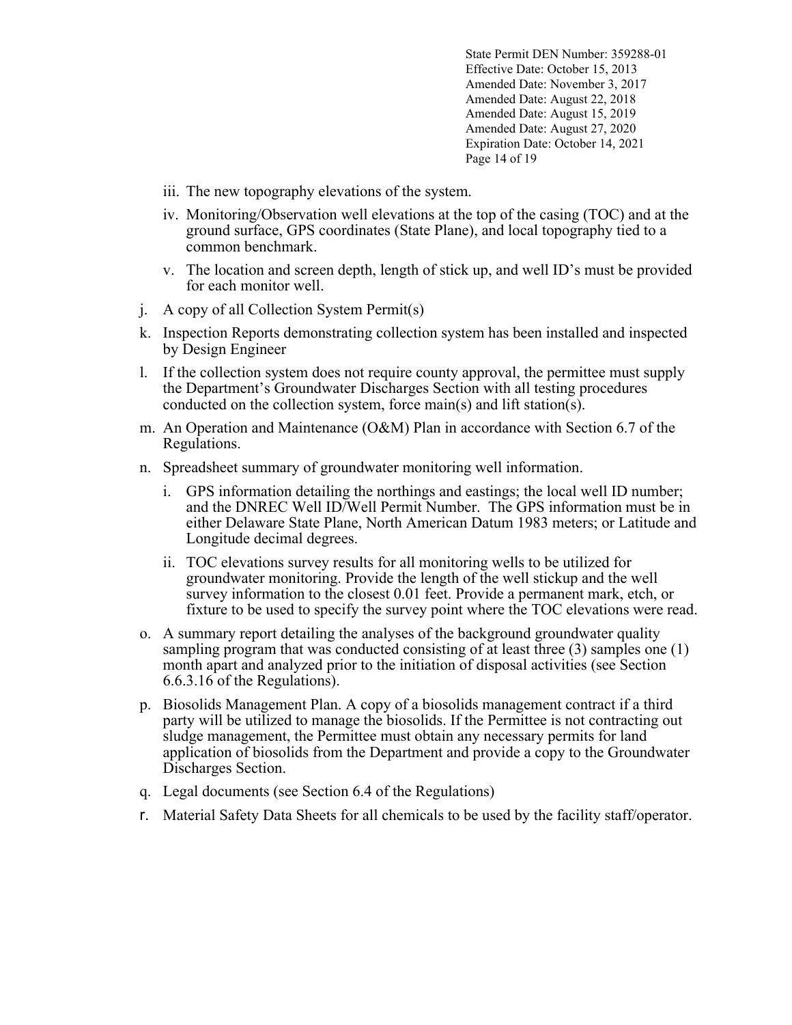State Permit DEN Number: 359288-01 Effective Date: October 15, 2013 Amended Date: November 3, 2017 Amended Date: August 22, 2018 Amended Date: August 15, 2019 Amended Date: August 27, 2020 Expiration Date: October 14, 2021 Page 14 of 19

- iii. The new topography elevations of the system.
- iv. Monitoring/Observation well elevations at the top of the casing (TOC) and at the ground surface, GPS coordinates (State Plane), and local topography tied to a common benchmark.
- v. The location and screen depth, length of stick up, and well ID's must be provided for each monitor well.
- j. A copy of all Collection System Permit(s)
- k. Inspection Reports demonstrating collection system has been installed and inspected by Design Engineer
- l. If the collection system does not require county approval, the permittee must supply the Department's Groundwater Discharges Section with all testing procedures conducted on the collection system, force main(s) and lift station(s).
- m. An Operation and Maintenance (O&M) Plan in accordance with Section 6.7 of the Regulations.
- n. Spreadsheet summary of groundwater monitoring well information.
	- i. GPS information detailing the northings and eastings; the local well ID number; and the DNREC Well ID/Well Permit Number. The GPS information must be in either Delaware State Plane, North American Datum 1983 meters; or Latitude and Longitude decimal degrees.
	- ii. TOC elevations survey results for all monitoring wells to be utilized for groundwater monitoring. Provide the length of the well stickup and the well survey information to the closest 0.01 feet. Provide a permanent mark, etch, or fixture to be used to specify the survey point where the TOC elevations were read.
- o. A summary report detailing the analyses of the background groundwater quality sampling program that was conducted consisting of at least three (3) samples one (1) month apart and analyzed prior to the initiation of disposal activities (see Section 6.6.3.16 of the Regulations).
- p. Biosolids Management Plan. A copy of a biosolids management contract if a third party will be utilized to manage the biosolids. If the Permittee is not contracting out sludge management, the Permittee must obtain any necessary permits for land application of biosolids from the Department and provide a copy to the Groundwater Discharges Section.
- q. Legal documents (see Section 6.4 of the Regulations)
- r. Material Safety Data Sheets for all chemicals to be used by the facility staff/operator.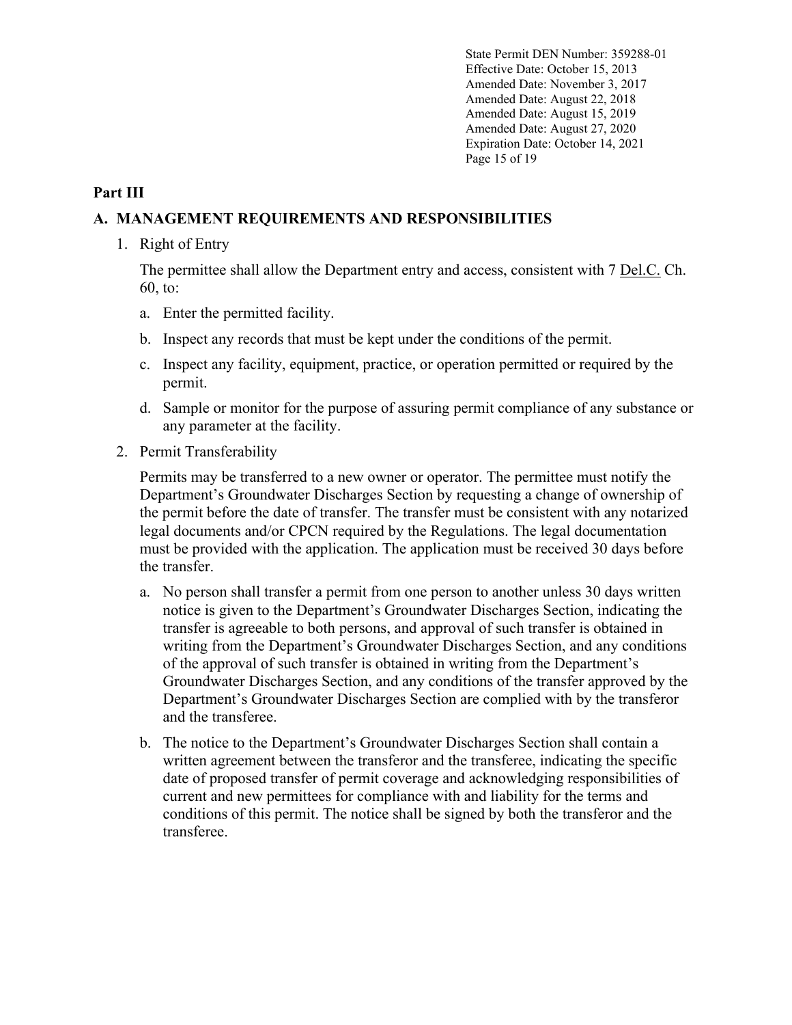State Permit DEN Number: 359288-01 Effective Date: October 15, 2013 Amended Date: November 3, 2017 Amended Date: August 22, 2018 Amended Date: August 15, 2019 Amended Date: August 27, 2020 Expiration Date: October 14, 2021 Page 15 of 19

## **Part III**

### **A. MANAGEMENT REQUIREMENTS AND RESPONSIBILITIES**

1. Right of Entry

The permittee shall allow the Department entry and access, consistent with 7 Del.C. Ch. 60, to:

- a. Enter the permitted facility.
- b. Inspect any records that must be kept under the conditions of the permit.
- c. Inspect any facility, equipment, practice, or operation permitted or required by the permit.
- d. Sample or monitor for the purpose of assuring permit compliance of any substance or any parameter at the facility.
- 2. Permit Transferability

Permits may be transferred to a new owner or operator. The permittee must notify the Department's Groundwater Discharges Section by requesting a change of ownership of the permit before the date of transfer. The transfer must be consistent with any notarized legal documents and/or CPCN required by the Regulations. The legal documentation must be provided with the application. The application must be received 30 days before the transfer.

- a. No person shall transfer a permit from one person to another unless 30 days written notice is given to the Department's Groundwater Discharges Section, indicating the transfer is agreeable to both persons, and approval of such transfer is obtained in writing from the Department's Groundwater Discharges Section, and any conditions of the approval of such transfer is obtained in writing from the Department's Groundwater Discharges Section, and any conditions of the transfer approved by the Department's Groundwater Discharges Section are complied with by the transferor and the transferee.
- b. The notice to the Department's Groundwater Discharges Section shall contain a written agreement between the transferor and the transferee, indicating the specific date of proposed transfer of permit coverage and acknowledging responsibilities of current and new permittees for compliance with and liability for the terms and conditions of this permit. The notice shall be signed by both the transferor and the transferee.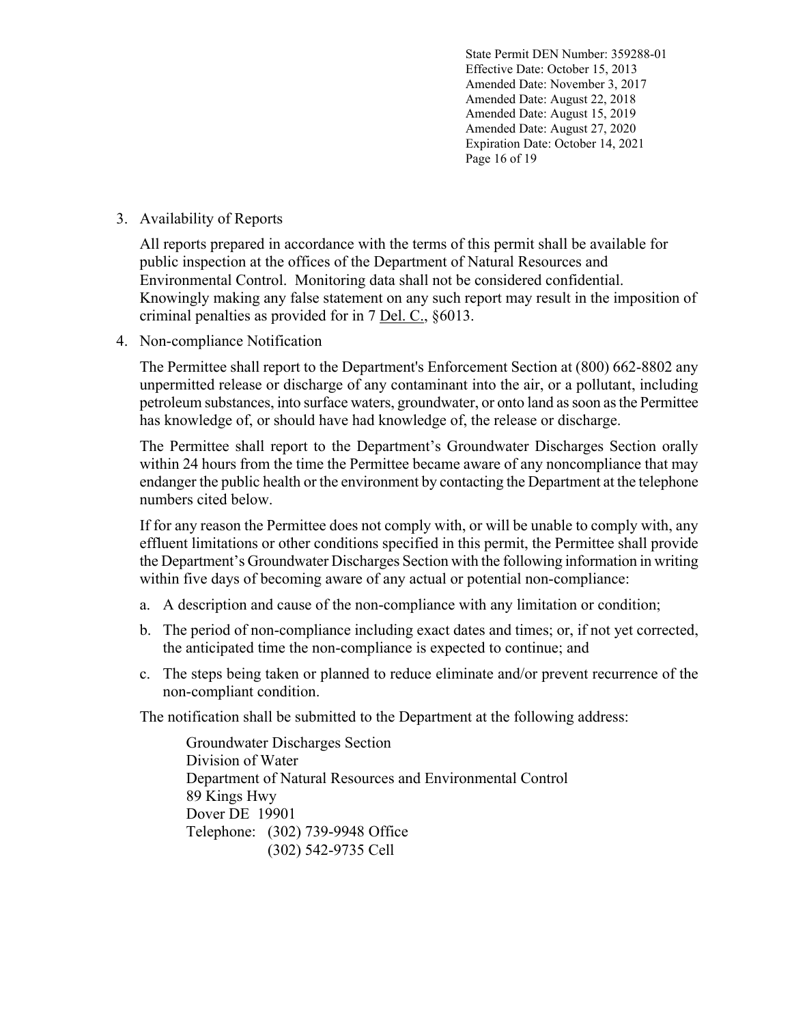State Permit DEN Number: 359288-01 Effective Date: October 15, 2013 Amended Date: November 3, 2017 Amended Date: August 22, 2018 Amended Date: August 15, 2019 Amended Date: August 27, 2020 Expiration Date: October 14, 2021 Page 16 of 19

### 3. Availability of Reports

All reports prepared in accordance with the terms of this permit shall be available for public inspection at the offices of the Department of Natural Resources and Environmental Control. Monitoring data shall not be considered confidential. Knowingly making any false statement on any such report may result in the imposition of criminal penalties as provided for in 7 Del. C., §6013.

4. Non-compliance Notification

The Permittee shall report to the Department's Enforcement Section at (800) 662-8802 any unpermitted release or discharge of any contaminant into the air, or a pollutant, including petroleum substances, into surface waters, groundwater, or onto land as soon as the Permittee has knowledge of, or should have had knowledge of, the release or discharge.

The Permittee shall report to the Department's Groundwater Discharges Section orally within 24 hours from the time the Permittee became aware of any noncompliance that may endanger the public health or the environment by contacting the Department at the telephone numbers cited below.

If for any reason the Permittee does not comply with, or will be unable to comply with, any effluent limitations or other conditions specified in this permit, the Permittee shall provide the Department's Groundwater Discharges Section with the following information in writing within five days of becoming aware of any actual or potential non-compliance:

- a. A description and cause of the non-compliance with any limitation or condition;
- b. The period of non-compliance including exact dates and times; or, if not yet corrected, the anticipated time the non-compliance is expected to continue; and
- c. The steps being taken or planned to reduce eliminate and/or prevent recurrence of the non-compliant condition.

The notification shall be submitted to the Department at the following address:

Groundwater Discharges Section Division of Water Department of Natural Resources and Environmental Control 89 Kings Hwy Dover DE 19901 Telephone: (302) 739-9948 Office (302) 542-9735 Cell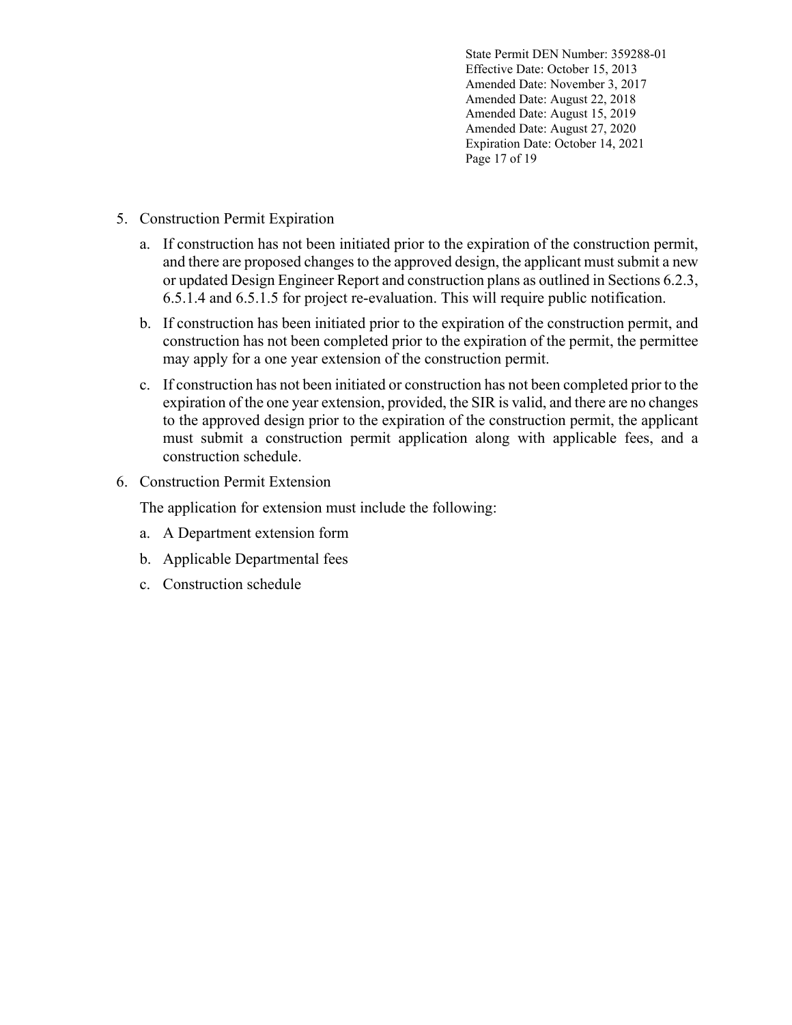State Permit DEN Number: 359288-01 Effective Date: October 15, 2013 Amended Date: November 3, 2017 Amended Date: August 22, 2018 Amended Date: August 15, 2019 Amended Date: August 27, 2020 Expiration Date: October 14, 2021 Page 17 of 19

- 5. Construction Permit Expiration
	- a. If construction has not been initiated prior to the expiration of the construction permit, and there are proposed changes to the approved design, the applicant must submit a new or updated Design Engineer Report and construction plans as outlined in Sections 6.2.3, 6.5.1.4 and 6.5.1.5 for project re-evaluation. This will require public notification.
	- b. If construction has been initiated prior to the expiration of the construction permit, and construction has not been completed prior to the expiration of the permit, the permittee may apply for a one year extension of the construction permit.
	- c. If construction has not been initiated or construction has not been completed prior to the expiration of the one year extension, provided, the SIR is valid, and there are no changes to the approved design prior to the expiration of the construction permit, the applicant must submit a construction permit application along with applicable fees, and a construction schedule.
- 6. Construction Permit Extension

The application for extension must include the following:

- a. A Department extension form
- b. Applicable Departmental fees
- c. Construction schedule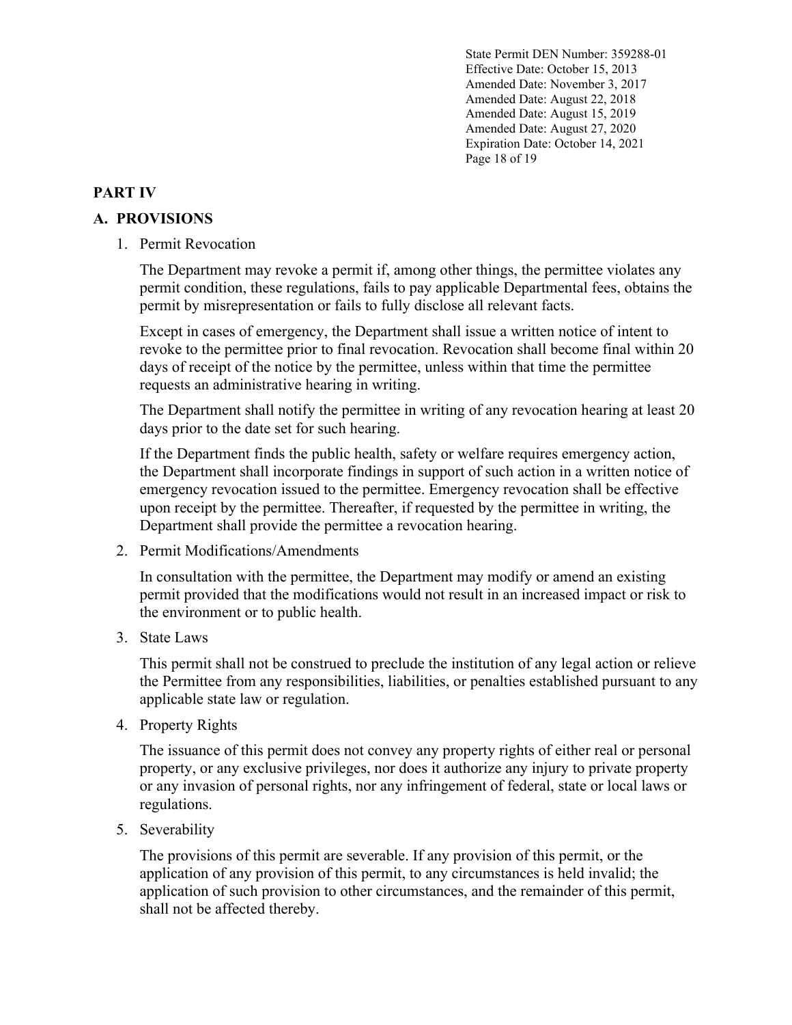State Permit DEN Number: 359288-01 Effective Date: October 15, 2013 Amended Date: November 3, 2017 Amended Date: August 22, 2018 Amended Date: August 15, 2019 Amended Date: August 27, 2020 Expiration Date: October 14, 2021 Page 18 of 19

## **PART IV**

## **A. PROVISIONS**

1. Permit Revocation

The Department may revoke a permit if, among other things, the permittee violates any permit condition, these regulations, fails to pay applicable Departmental fees, obtains the permit by misrepresentation or fails to fully disclose all relevant facts.

Except in cases of emergency, the Department shall issue a written notice of intent to revoke to the permittee prior to final revocation. Revocation shall become final within 20 days of receipt of the notice by the permittee, unless within that time the permittee requests an administrative hearing in writing.

The Department shall notify the permittee in writing of any revocation hearing at least 20 days prior to the date set for such hearing.

If the Department finds the public health, safety or welfare requires emergency action, the Department shall incorporate findings in support of such action in a written notice of emergency revocation issued to the permittee. Emergency revocation shall be effective upon receipt by the permittee. Thereafter, if requested by the permittee in writing, the Department shall provide the permittee a revocation hearing.

2. Permit Modifications/Amendments

In consultation with the permittee, the Department may modify or amend an existing permit provided that the modifications would not result in an increased impact or risk to the environment or to public health.

3. State Laws

This permit shall not be construed to preclude the institution of any legal action or relieve the Permittee from any responsibilities, liabilities, or penalties established pursuant to any applicable state law or regulation.

4. Property Rights

The issuance of this permit does not convey any property rights of either real or personal property, or any exclusive privileges, nor does it authorize any injury to private property or any invasion of personal rights, nor any infringement of federal, state or local laws or regulations.

5. Severability

The provisions of this permit are severable. If any provision of this permit, or the application of any provision of this permit, to any circumstances is held invalid; the application of such provision to other circumstances, and the remainder of this permit, shall not be affected thereby.